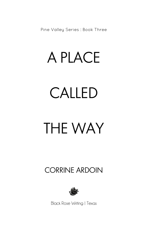Pine Valley Series : Book Three

# A PLACE CALLED

# THE WAY

## CORRINE ARDOIN



Black Rose Writing | Texas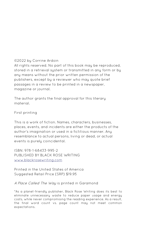#### ©2022 by Corrine Ardoin

All riahts reserved. No part of this book may be reproduced, stored in a retrieval system or transmitted in any form or by any means without the prior written permission of the publishers, except by a reviewer who may quote brief passages in a review to be printed in a newspaper, magazine or journal.

The author grants the final approval for this literary material.

#### First printing

This is a work of fiction. Names, characters, businesses, places, events, and incidents are either the products of the author's imagination or used in a fictitious manner. Any resemblance to actual persons, living or dead, or actual events is purely coincidental.

ISBN: 978-1-68433-995-2 PUBLISHED BY BLACK ROSE WRITING www.blackrosewriting.com

Printed in the United States of America Suggested Retail Price (SRP) \$19.95

#### A Place Called The Way is printed in Garamond

\*As a planet-friendly publisher, Black Rose Writing does its best to eliminate unnecessary waste to reduce paper usage and energy costs, while never compromising the reading experience. As a result, the final word count vs. page count may not meet common expectations.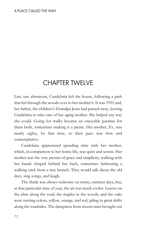### CHAPTER TWELVE

Late one afternoon, Candelaria left the house, following a path that led through the woods over to her mother's. It was 1951 and, her father, the children's Grandpa Jesse had passed away, leaving Candelaria to take care of her aging mother. She helped any way she could. Going for walks became an enjoyable pastime for them both, sometimes making it a picnic. Her mother, Ev, was nearly eighty, by that time, so their pace was slow and contemplative.

Candelaria appreciated spending time with her mother, which, in comparison to her home life, was quiet and serene. Her mother was the very picture of grace and simplicity, walking with her hands clasped behind her back, sometimes fashioning a walking stick from a tree branch. They would talk about the old days, sing songs, and laugh.

The shade was always welcome on warm, summer days, but, at that particular time of year, the air was much cooler. Leaves on the elms along the road, the maples in the woods, and the oaks were turning colors, yellow, orange, and red, piling in great drifts along the roadsides. The dampness from recent rains brought out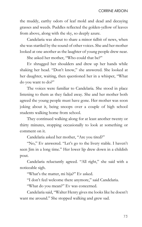the muddy, earthy odors of leaf mold and dead and decaying grasses and weeds. Puddles reflected the golden-yellow of leaves from above, along with the sky, so deeply azure.

Candelaria was about to share a minor tidbit of news, when she was startled by the sound of other voices. She and her mother looked at one another as the laughter of young people drew near.

She asked her mother, "Who could that be?"

Ev shrugged her shoulders and drew up her hands while shaking her head. "Don't know," she answered. She looked at her daughter, waiting, then questioned her in a whisper, "What do you want to do?"

The voices were familiar to Candelaria. She stood in place listening to them as they faded away. She and her mother both agreed the young people must have gone. Her mother was soon joking about it, being snoops over a couple of high school students walking home from school.

They continued walking along for at least another twenty or thirty minutes, stopping occasionally to look at something or comment on it.

Candelaria asked her mother, "Are you tired?"

"No," Ev answered. "Let's go to the livery stable. I haven't seen Jim in a long time." Her lower lip drew down in a childish pout.

Candelaria reluctantly agreed. "All right," she said with a noticeable sigh.

"What's the matter, mi hija?" Ev asked.

"I don't feel welcome there anymore," said Candelaria.

"What do you mean?" Ev was concerned.

Candelaria said, "Walter Henry gives me looks like he doesn't want me around." She stopped walking and grew sad.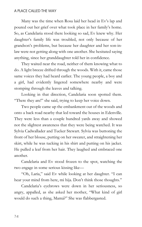#### A PLACE CALLED THE WAY

Many was the time when Rosa laid her head in Ev's lap and poured out her grief over what took place in her family's home. So, as Candelaria stood there looking so sad, Ev knew why. Her daughter's family life was troubled, not only because of her grandson's problems, but because her daughter and her son-inlaw were not getting along with one another. She hesitated saying anything, since her granddaughter told her in confidence.

They waited near the road, neither of them knowing what to do. A light breeze drifted through the woods. With it, came those same voices they had heard earlier. The young people, a boy and a girl, had evidently lingered somewhere nearby and were stomping through the leaves and talking.

Looking in that direction, Candelaria soon spotted them. "There they are!" she said, trying to keep her voice down.

Two people came up the embankment out of the woods and onto a back road nearby that led toward the houses in Edenville. They were less than a couple hundred yards away and showed not the slightest awareness that they were being watched. It was Sylvia Cadwallader and Tucker Stewart. Sylvia was buttoning the front of her blouse, putting on her sweater, and straightening her skirt, while he was tucking in his shirt and putting on his jacket. He pulled a leaf from her hair. They laughed and embraced one another.

Candelaria and Ev stood frozen to the spot, watching the two engage in some serious kissing like—

"Oh, Laria," said Ev while looking at her daughter. "I can hear your mind from here, mi hija. Don't think those thoughts."

Candelaria's eyebrows were down in her seriousness, so angry, appalled, as she asked her mother, "What kind of girl would do such a thing, Mamá?" She was flabbergasted.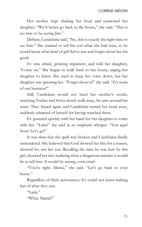Her mother kept shaking her head and cautioned her daughter. "We'd better go back to the house," she said. "This is no time to be seeing Jim."

Defiant, Candelaria said, "No, this is exactly the right time to see him." She wanted to tell her son what she had seen, so he would know what kind of girl Sylvia was and forget about her for good.

Ev was afraid, growing impatient, and told her daughter, "Come on." She began to walk back to her house, urging her daughter to listen. She tried to keep her voice down, but her daughter was ignoring her. "Forget about it!" she said. "It's none of our business!"

Still, Candelaria would not heed her mother's words, watching Tucker and Sylvia slowly walk away, his arm around her waist. They kissed again and Candelaria turned her head away, suddenly ashamed of herself for having watched them.

Ev gestured quickly with her hand for her daughter to come with her. "Laria!" she said in an emphatic whisper. "Ven aqui! Now! Let's go!"

It was then that the spell was broken and Candelaria finally surrendered. She believed that God showed her this for a reason, showed *her*, not her son. Recalling the time he was hurt by this girl, shocked her into realizing what a dangerous mistake it would be to tell him. It would be wrong, even cruel.

"You're right, Mamá," she said. "Let's go back to your house."

Regardless of their seriousness, Ev could not resist making fun of what they saw.

"Laria." "What, Mamá?"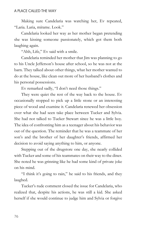Making sure Candelaria was watching her, Ev repeated, "Laria. Laria, mírame. Look."

Candelaria looked her way as her mother began pretending she was kissing someone passionately, which got them both laughing again.

"Ahh, Life," Ev said with a smile.

Candelaria reminded her mother that Jim was planning to go to his Uncle Jefferson's house after school, so he was not at the barn. They talked about other things, what her mother wanted to do at the house, like clean out more of her husband's clothes and his personal possessions.

Ev remarked sadly, "I don't need those things."

They were quiet the rest of the way back to the house. Ev occasionally stopped to pick up a little stone or an interesting piece of wood and examine it. Candelaria renewed her obsession over what she had seen take place between Tucker and Sylvia. She had not talked to Tucker Stewart since he was a little boy. The idea of confronting him as a teenager about his behavior was out of the question. The reminder that he was a teammate of her son's and the brother of her daughter's friends, affirmed her decision to avoid saying anything to him, or anyone.

Stepping out of the drugstore one day, she nearly collided with Tucker and some of his teammates on their way to the diner. She noted he was grinning like he had some kind of private joke on his mind.

"I think it's going to rain," he said to his friends, and they laughed.

Tucker's rude comment closed the issue for Candelaria, who realized that, despite his actions, he was still a kid. She asked herself if she would continue to judge him and Sylvia or forgive